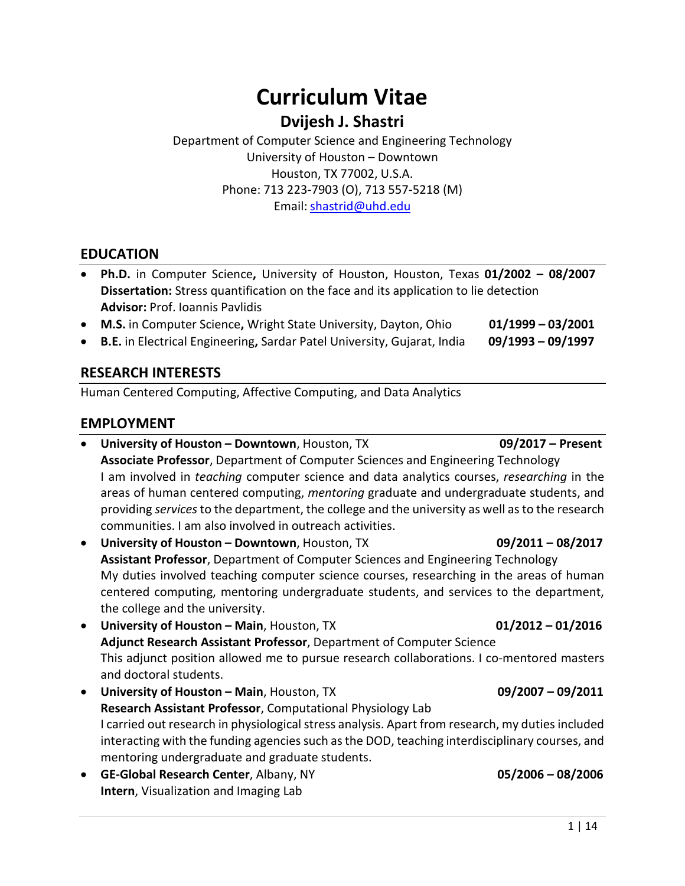# **Curriculum Vitae**

# **Dvijesh J. Shastri**

 University of Houston – Downtown Houston, TX 77002, U.S.A. Phone: 713 223-7903 (O), 713 557-5218 (M) Department of Computer Science and Engineering Technology Email: [shastrid@uhd.edu](mailto:shastrid@uhd.edu) 

#### **EDUCATION**

- **Ph.D.** in Computer Science**,** University of Houston, Houston, Texas **01/2002 08/2007 Dissertation:** Stress quantification on the face and its application to lie detection **Advisor:** Prof. Ioannis Pavlidis
- **M.S.** in Computer Science**,** Wright State University, Dayton, Ohio **01/1999 03/2001**
- **B.E.** in Electrical Engineering**,** Sardar Patel University, Gujarat, India **09/1993 09/1997**

# **RESEARCH INTERESTS**

Human Centered Computing, Affective Computing, and Data Analytics

# **EMPLOYMENT**

- **•** University of Houston Downtown, Houston, TX **09/2017 Present Associate Professor**, Department of Computer Sciences and Engineering Technology providing *services* to the department, the college and the university as well as to the research communities. I am also involved in outreach activities. I am involved in *teaching* computer science and data analytics courses, *researching* in the areas of human centered computing, *mentoring* graduate and undergraduate students, and
- **University of Houston Downtown**, Houston, TX **09/2011 08/2017 Assistant Professor**, Department of Computer Sciences and Engineering Technology the college and the university. My duties involved teaching computer science courses, researching in the areas of human centered computing, mentoring undergraduate students, and services to the department,
- **University of Houston Main**, Houston, TX **01/2012 01/2016 Adjunct Research Assistant Professor**, Department of Computer Science This adjunct position allowed me to pursue research collaborations. I co-mentored masters and doctoral students.
- **University of Houston Main**, Houston, TX **09/2007 09/2011 Research Assistant Professor**, Computational Physiology Lab I carried out research in physiological stress analysis. Apart from research, my duties included interacting with the funding agencies such as the DOD, teaching interdisciplinary courses, and mentoring undergraduate and graduate students.
- **GE-Global Research Center**, Albany, NY **05/2006 08/2006 Intern**, Visualization and Imaging Lab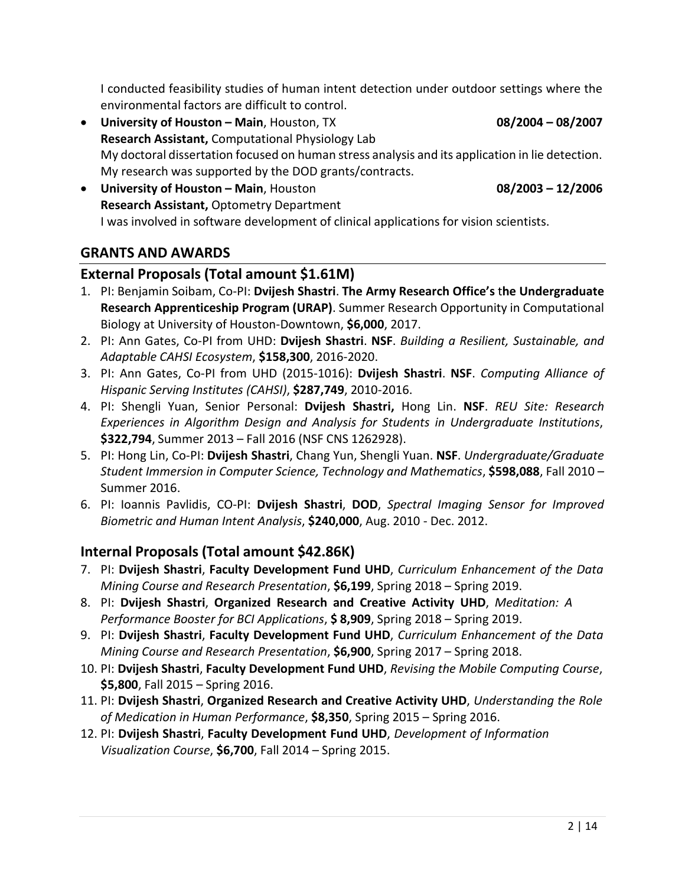I conducted feasibility studies of human intent detection under outdoor settings where the environmental factors are difficult to control.

- **University of Houston Main**, Houston, TX **08/2004 08/2007**  My doctoral dissertation focused on human stress analysis and its application in lie detection. My research was supported by the DOD grants/contracts. **Research Assistant,** Computational Physiology Lab
- **University of Houston Main**, Houston **08/2003 12/2006**  I was involved in software development of clinical applications for vision scientists. **Research Assistant,** Optometry Department

# **GRANTS AND AWARDS**

# **External Proposals (Total amount \$1.61M)**

- 1. PI: Benjamin Soibam, Co-PI: **Dvijesh Shastri**. **The Army Research Office's** t**he Undergraduate Research Apprenticeship Program (URAP)**. Summer Research Opportunity in Computational Biology at University of Houston-Downtown, **\$6,000**, 2017.
- *Adaptable CAHSI Ecosystem*, **\$158,300**, 2016-2020. 2. PI: Ann Gates, Co-PI from UHD: **Dvijesh Shastri**. **NSF**. *Building a Resilient, Sustainable, and*
- *Hispanic Serving Institutes (CAHSI)*, **\$287,749**, 2010-2016. 3. PI: Ann Gates, Co-PI from UHD (2015-1016): **Dvijesh Shastri**. **NSF**. *Computing Alliance of*
- 4. PI: Shengli Yuan, Senior Personal: **Dvijesh Shastri,** Hong Lin. **NSF**. *REU Site: Research Experiences in Algorithm Design and Analysis for Students in Undergraduate Institutions*, **\$322,794**, Summer 2013 – Fall 2016 (NSF CNS 1262928).
- *Student Immersion in Computer Science, Technology and Mathematics*, **\$598,088**, Fall 2010 Summer 2016. 5. PI: Hong Lin, Co-PI: **Dvijesh Shastri**, Chang Yun, Shengli Yuan. **NSF**. *Undergraduate/Graduate*
- 6. PI: Ioannis Pavlidis, CO-PI: **Dvijesh Shastri**, **DOD**, *Spectral Imaging Sensor for Improved Biometric and Human Intent Analysis*, **\$240,000**, Aug. 2010 - Dec. 2012.

# **Internal Proposals (Total amount \$42.86K)**

- 7. PI: **Dvijesh Shastri**, **Faculty Development Fund UHD**, *Curriculum Enhancement of the Data Mining Course and Research Presentation*, **\$6,199**, Spring 2018 – Spring 2019.
- 8. PI: **Dvijesh Shastri**, **Organized Research and Creative Activity UHD**, *Meditation: A Performance Booster for BCI Applications*, **\$ 8,909**, Spring 2018 – Spring 2019.
- 9. PI: **Dvijesh Shastri**, **Faculty Development Fund UHD**, *Curriculum Enhancement of the Data Mining Course and Research Presentation*, **\$6,900**, Spring 2017 – Spring 2018.
- 10. PI: **Dvijesh Shastri**, **Faculty Development Fund UHD**, *Revising the Mobile Computing Course*, **\$5,800**, Fall 2015 – Spring 2016.
- 11. PI: **Dvijesh Shastri**, **Organized Research and Creative Activity UHD**, *Understanding the Role of Medication in Human Performance*, **\$8,350**, Spring 2015 – Spring 2016.
- 12. PI: **Dvijesh Shastri**, **Faculty Development Fund UHD**, *Development of Information Visualization Course*, **\$6,700**, Fall 2014 – Spring 2015.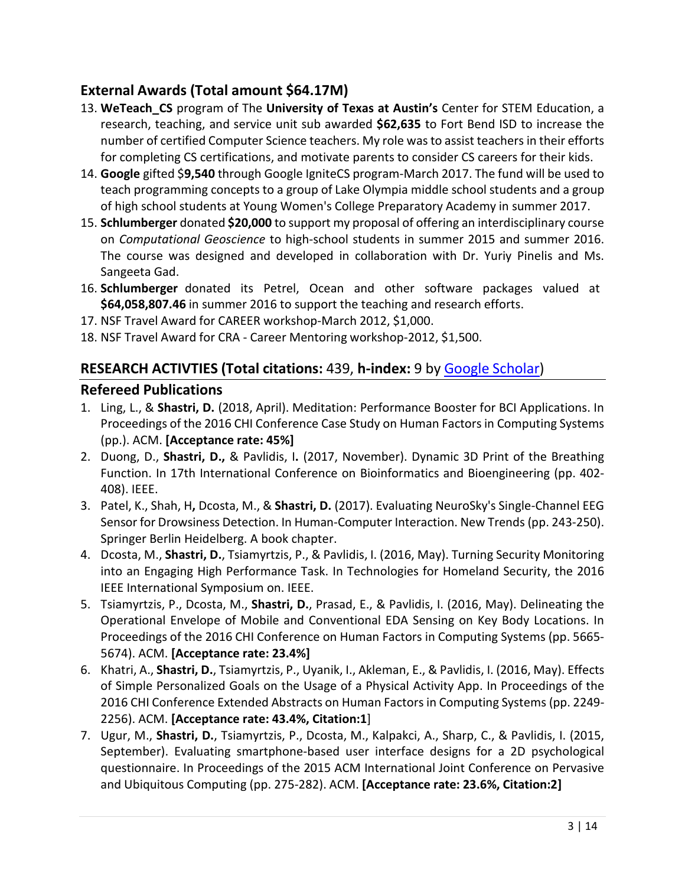# **External Awards (Total amount \$64.17M)**

- number of certified Computer Science teachers. My role was to assist teachers in their efforts for completing CS certifications, and motivate parents to consider CS careers for their kids. 13. **WeTeach\_CS** program of The **University of Texas at Austin's** Center for STEM Education, a research, teaching, and service unit sub awarded **\$62,635** to Fort Bend ISD to increase the
- 14. **Google** gifted \$**9,540** through Google IgniteCS program-March 2017. The fund will be used to teach programming concepts to a group of Lake Olympia middle school students and a group of high school students at Young Women's College Preparatory Academy in summer 2017.
- 15. **Schlumberger** donated **\$20,000** to support my proposal of offering an interdisciplinary course Sangeeta Gad. on *Computational Geoscience* to high-school students in summer 2015 and summer 2016. The course was designed and developed in collaboration with Dr. Yuriy Pinelis and Ms.
- 16. **Schlumberger** donated its Petrel, Ocean and other software packages valued at **[\\$64,058,807.46](https://64,058,807.46)** in summer 2016 to support the teaching and research efforts.
- 17. NSF Travel Award for CAREER workshop-March 2012, \$1,000.
- 18. NSF Travel Award for CRA Career Mentoring workshop-2012, \$1,500.

# **RESEARCH ACTIVTIES (Total citations:** 439, **h-index:** 9 by Google Scholar)

#### **Refereed Publications**

- Proceedings of the 2016 CHI Conference Case Study on Human Factors in Computing Systems  (pp.). ACM. **[Acceptance rate: 45%]**  1. Ling, L., & **Shastri, D.** (2018, April). Meditation: Performance Booster for BCI Applications. In
- 2. Duong, D., **Shastri, D.,** & Pavlidis, I**.** (2017, November). Dynamic 3D Print of the Breathing 408). IEEE. Function. In 17th International Conference on Bioinformatics and Bioengineering (pp. 402-
- 3. Patel, K., Shah, H**,** Dcosta, M., & **Shastri, D.** (2017). Evaluating NeuroSky's Single-Channel EEG Sensor for Drowsiness Detection. In Human-Computer Interaction. New Trends (pp. 243-250). Springer Berlin Heidelberg. A book chapter.
- 4. Dcosta, M., **Shastri, D.**, Tsiamyrtzis, P., & Pavlidis, I. (2016, May). Turning Security Monitoring into an Engaging High Performance Task. In Technologies for Homeland Security, the 2016 IEEE International Symposium on. IEEE.
- 5. Tsiamyrtzis, P., Dcosta, M., **Shastri, D.**, Prasad, E., & Pavlidis, I. (2016, May). Delineating the Proceedings of the 2016 CHI Conference on Human Factors in Computing Systems (pp. 5665-  5674). ACM. **[Acceptance rate: 23.4%]**  Operational Envelope of Mobile and Conventional EDA Sensing on Key Body Locations. In
- 6. Khatri, A., **Shastri, D.**, Tsiamyrtzis, P., Uyanik, I., Akleman, E., & Pavlidis, I. (2016, May). Effects 2016 CHI Conference Extended Abstracts on Human Factors in Computing Systems (pp. 2249-  2256). ACM. **[Acceptance rate: 43.4%, Citation:1**] of Simple Personalized Goals on the Usage of a Physical Activity App. In Proceedings of the
- 7. Ugur, M., **Shastri, D.**, Tsiamyrtzis, P., Dcosta, M., Kalpakci, A., Sharp, C., & Pavlidis, I. (2015, and Ubiquitous Computing (pp. 275-282). ACM. **[Acceptance rate: 23.6%, Citation:2]**  September). Evaluating smartphone-based user interface designs for a 2D psychological questionnaire. In Proceedings of the 2015 ACM International Joint Conference on Pervasive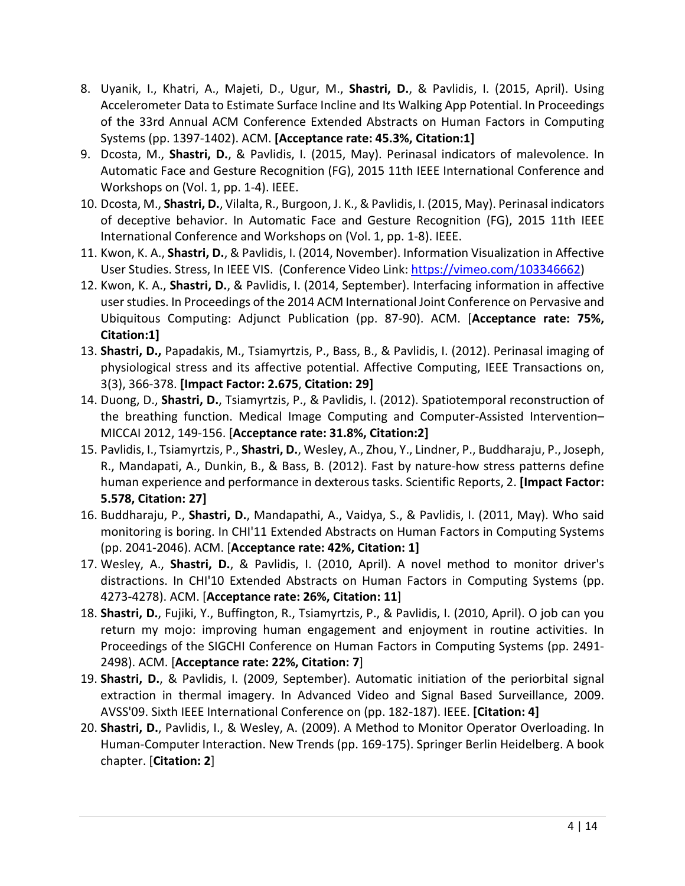- Accelerometer Data to Estimate Surface Incline and Its Walking App Potential. In Proceedings Systems (pp. 1397-1402). ACM. **[Acceptance rate: 45.3%, Citation:1]**  8. Uyanik, I., Khatri, A., Majeti, D., Ugur, M., **Shastri, D.**, & Pavlidis, I. (2015, April). Using of the 33rd Annual ACM Conference Extended Abstracts on Human Factors in Computing
- Workshops on (Vol. 1, pp. 1-4). IEEE. 9. Dcosta, M., **Shastri, D.**, & Pavlidis, I. (2015, May). Perinasal indicators of malevolence. In Automatic Face and Gesture Recognition (FG), 2015 11th IEEE International Conference and
- 10. Dcosta, M., **Shastri, D.**, Vilalta, R., Burgoon, J. K., & Pavlidis, I. (2015, May). Perinasal indicators International Conference and Workshops on (Vol. 1, pp. 1-8). IEEE. of deceptive behavior. In Automatic Face and Gesture Recognition (FG), 2015 11th IEEE
- 11. Kwon, K. A., **Shastri, D.**, & Pavlidis, I. (2014, November). Information Visualization in Affective User Studies. Stress, In IEEE VIS. (Conference Video Link: <https://vimeo.com/103346662>)
- 12. Kwon, K. A., **Shastri, D.**, & Pavlidis, I. (2014, September). Interfacing information in affective user studies. In Proceedings of the 2014 ACM International Joint Conference on Pervasive and Ubiquitous Computing: Adjunct Publication (pp. 87-90). ACM. [**Acceptance rate: 75%, Citation:1]**
- 3(3), 366-378. **[Impact Factor: 2.675**, **Citation: 29]**  13. **Shastri, D.,** Papadakis, M., Tsiamyrtzis, P., Bass, B., & Pavlidis, I. (2012). Perinasal imaging of physiological stress and its affective potential. Affective Computing, IEEE Transactions on,
- MICCAI 2012, 149-156. [**Acceptance rate: 31.8%, Citation:2]**  14. Duong, D., **Shastri, D.**, Tsiamyrtzis, P., & Pavlidis, I. (2012). Spatiotemporal reconstruction of the breathing function. Medical Image Computing and Computer-Assisted Intervention–
- 15. Pavlidis, I., Tsiamyrtzis, P., **Shastri, D.**, Wesley, A., Zhou, Y., Lindner, P., Buddharaju, P., Joseph, human experience and performance in dexterous tasks. Scientific Reports, 2. **[Impact Factor:**  R., Mandapati, A., Dunkin, B., & Bass, B. (2012). Fast by nature-how stress patterns define **5.578, Citation: 27]**
- monitoring is boring. In CHI'11 Extended Abstracts on Human Factors in Computing Systems (pp. 2041-2046). ACM. [**Acceptance rate: 42%, Citation: 1]**  16. Buddharaju, P., **Shastri, D.**, Mandapathi, A., Vaidya, S., & Pavlidis, I. (2011, May). Who said
- 17. Wesley, A., **Shastri, D.**, & Pavlidis, I. (2010, April). A novel method to monitor driver's 4273-4278). ACM. [**Acceptance rate: 26%, Citation: 11**] distractions. In CHI'10 Extended Abstracts on Human Factors in Computing Systems (pp.
- 18. **Shastri, D.**, Fujiki, Y., Buffington, R., Tsiamyrtzis, P., & Pavlidis, I. (2010, April). O job can you return my mojo: improving human engagement and enjoyment in routine activities. In Proceedings of the SIGCHI Conference on Human Factors in Computing Systems (pp. 2491-  2498). ACM. [**Acceptance rate: 22%, Citation: 7**]
- extraction in thermal imagery. In Advanced Video and Signal Based Surveillance, 2009. AVSS'09. Sixth IEEE International Conference on (pp. 182-187). IEEE. **[Citation: 4]**  19. **Shastri, D.**, & Pavlidis, I. (2009, September). Automatic initiation of the periorbital signal
- Human-Computer Interaction. New Trends (pp. 169-175). Springer Berlin Heidelberg. A book chapter. [**Citation: 2**] 20. **Shastri, D.**, Pavlidis, I., & Wesley, A. (2009). A Method to Monitor Operator Overloading. In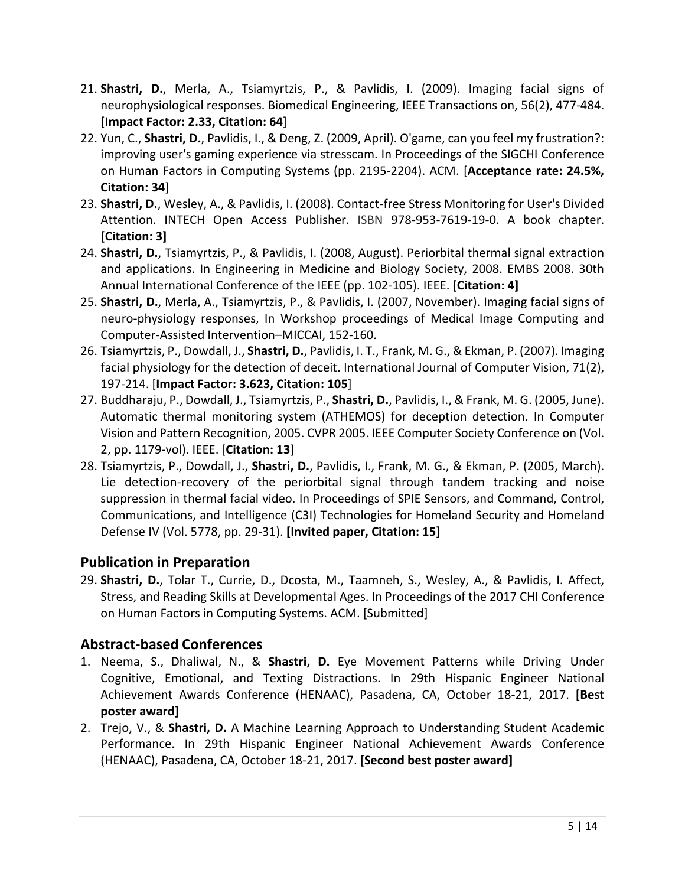- 21. **Shastri, D.**, Merla, A., Tsiamyrtzis, P., & Pavlidis, I. (2009). Imaging facial signs of  [**Impact Factor: 2.33, Citation: 64**] neurophysiological responses. Biomedical Engineering, IEEE Transactions on, 56(2), 477-484.
- 22. Yun, C., **Shastri, D.**, Pavlidis, I., & Deng, Z. (2009, April). O'game, can you feel my frustration?: improving user's gaming experience via stresscam. In Proceedings of the SIGCHI Conference on Human Factors in Computing Systems (pp. 2195-2204). ACM. [**Acceptance rate: 24.5%, Citation: 34**]
- 23. **Shastri, D.**, Wesley, A., & Pavlidis, I. (2008). Contact-free Stress Monitoring for User's Divided Attention. INTECH Open Access Publisher. ISBN 978-953-7619-19-0. A book chapter.  **[Citation: 3]**
- and applications. In Engineering in Medicine and Biology Society, 2008. EMBS 2008. 30th Annual International Conference of the IEEE (pp. 102-105). IEEE. **[Citation: 4]**  24. **Shastri, D.**, Tsiamyrtzis, P., & Pavlidis, I. (2008, August). Periorbital thermal signal extraction
- 25. **Shastri, D.**, Merla, A., Tsiamyrtzis, P., & Pavlidis, I. (2007, November). Imaging facial signs of neuro-physiology responses, In Workshop proceedings of Medical Image Computing and Computer-Assisted Intervention–MICCAI, 152-160.
- 26. Tsiamyrtzis, P., Dowdall, J., **Shastri, D.**, Pavlidis, I. T., Frank, M. G., & Ekman, P. (2007). Imaging facial physiology for the detection of deceit. International Journal of Computer Vision, 71(2),  197-214. [**Impact Factor: 3.623, Citation: 105**]
- 27. Buddharaju, P., Dowdall, J., Tsiamyrtzis, P., **Shastri, D.**, Pavlidis, I., & Frank, M. G. (2005, June). Vision and Pattern Recognition, 2005. CVPR 2005. IEEE Computer Society Conference on (Vol. 2, pp. 1179-vol). IEEE. [**Citation: 13**] Automatic thermal monitoring system (ATHEMOS) for deception detection. In Computer
- 28. Tsiamyrtzis, P., Dowdall, J., **Shastri, D.**, Pavlidis, I., Frank, M. G., & Ekman, P. (2005, March). Lie detection-recovery of the periorbital signal through tandem tracking and noise Defense IV (Vol. 5778, pp. 29-31). **[Invited paper, Citation: 15]**  suppression in thermal facial video. In Proceedings of SPIE Sensors, and Command, Control, Communications, and Intelligence (C3I) Technologies for Homeland Security and Homeland

# **Publication in Preparation**

 29. **Shastri, D.**, Tolar T., Currie, D., Dcosta, M., Taamneh, S., Wesley, A., & Pavlidis, I. Affect, Stress, and Reading Skills at Developmental Ages. In Proceedings of the 2017 CHI Conference on Human Factors in Computing Systems. ACM. [Submitted]

# **Abstract-based Conferences**

- 1. Neema, S., Dhaliwal, N., & **Shastri, D.** Eye Movement Patterns while Driving Under Cognitive, Emotional, and Texting Distractions. In 29th Hispanic Engineer National Achievement Awards Conference (HENAAC), Pasadena, CA, October 18-21, 2017. **[Best poster award]**
- 2. Trejo, V., & **Shastri, D.** A Machine Learning Approach to Understanding Student Academic Performance. In 29th Hispanic Engineer National Achievement Awards Conference (HENAAC), Pasadena, CA, October 18-21, 2017. **[Second best poster award]**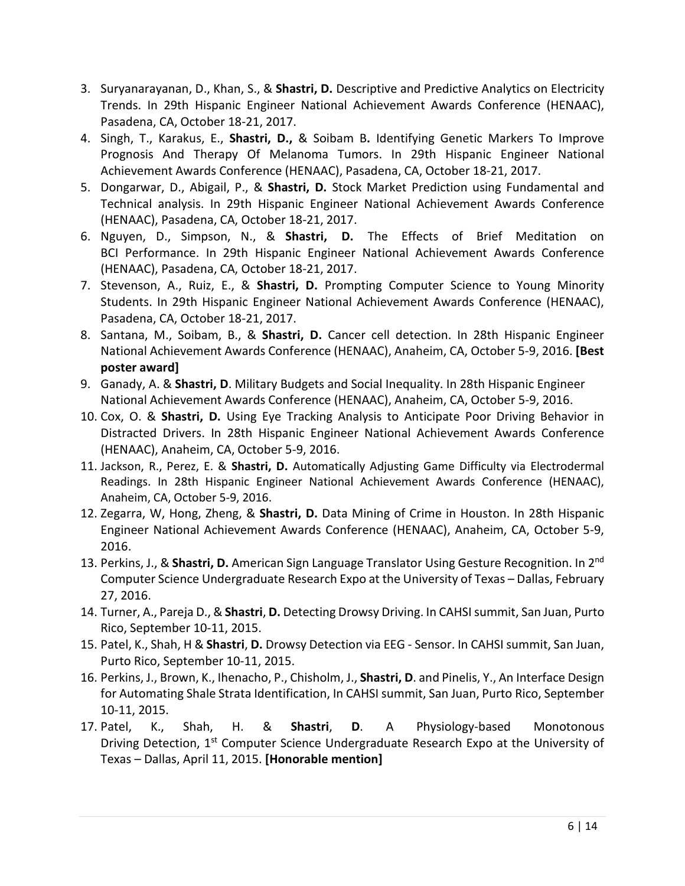- Pasadena, CA, October 18-21, 2017. 3. Suryanarayanan, D., Khan, S., & **Shastri, D.** Descriptive and Predictive Analytics on Electricity Trends. In 29th Hispanic Engineer National Achievement Awards Conference (HENAAC),
- Prognosis And Therapy Of Melanoma Tumors. In 29th Hispanic Engineer National Achievement Awards Conference (HENAAC), Pasadena, CA, October 18-21, 2017. 4. Singh, T., Karakus, E., **Shastri, D.,** & Soibam B**.** Identifying Genetic Markers To Improve
- 5. Dongarwar, D., Abigail, P., & **Shastri, D.** Stock Market Prediction using Fundamental and Technical analysis. In 29th Hispanic Engineer National Achievement Awards Conference (HENAAC), Pasadena, CA, October 18-21, 2017.
- 6. Nguyen, D., Simpson, N., & **Shastri, D.** The Effects of Brief Meditation on BCI Performance. In 29th Hispanic Engineer National Achievement Awards Conference (HENAAC), Pasadena, CA, October 18-21, 2017.
- 7. Stevenson, A., Ruiz, E., & **Shastri, D.** Prompting Computer Science to Young Minority Pasadena, CA, October 18-21, 2017. Students. In 29th Hispanic Engineer National Achievement Awards Conference (HENAAC),
- 8. Santana, M., Soibam, B., & **Shastri, D.** Cancer cell detection. In 28th Hispanic Engineer National Achievement Awards Conference (HENAAC), Anaheim, CA, October 5-9, 2016. **[Best poster award]**
- National Achievement Awards Conference (HENAAC), Anaheim, CA, October 5-9, 2016. 9. Ganady, A. & **Shastri, D**. Military Budgets and Social Inequality. In 28th Hispanic Engineer
- Distracted Drivers. In 28th Hispanic Engineer National Achievement Awards Conference (HENAAC), Anaheim, CA, October 5-9, 2016. 10. Cox, O. & **Shastri, D.** Using Eye Tracking Analysis to Anticipate Poor Driving Behavior in
- 11. Jackson, R., Perez, E. & **Shastri, D.** Automatically Adjusting Game Difficulty via Electrodermal Readings. In 28th Hispanic Engineer National Achievement Awards Conference (HENAAC), Anaheim, CA, October 5-9, 2016.
- 12. Zegarra, W, Hong, Zheng, & **Shastri, D.** Data Mining of Crime in Houston. In 28th Hispanic Engineer National Achievement Awards Conference (HENAAC), Anaheim, CA, October 5-9, 2016.
- 13. Perkins, J., & **Shastri, D.** American Sign Language Translator Using Gesture Recognition. In 2nd Computer Science Undergraduate Research Expo at the University of Texas – Dallas, February 27, 2016.
- 14. Turner, A., Pareja D., & **Shastri**, **D.** Detecting Drowsy Driving. In CAHSI summit, San Juan, Purto Rico, September 10-11, 2015.
- 15. Patel, K., Shah, H & **Shastri**, **D.** Drowsy Detection via EEG Sensor. In CAHSI summit, San Juan, Purto Rico, September 10-11, 2015.
- 16. Perkins, J., Brown, K., Ihenacho, P., Chisholm, J., **Shastri, D**. and Pinelis, Y., An Interface Design for Automating Shale Strata Identification, In CAHSI summit, San Juan, Purto Rico, September 10-11, 2015.
- 17. Patel, Texas – Dallas, April 11, 2015. **[Honorable mention]**  17. Patel, K., Shah, H. & **Shastri**, **D**. A Physiology-based Monotonous Driving Detection, 1<sup>st</sup> Computer Science Undergraduate Research Expo at the University of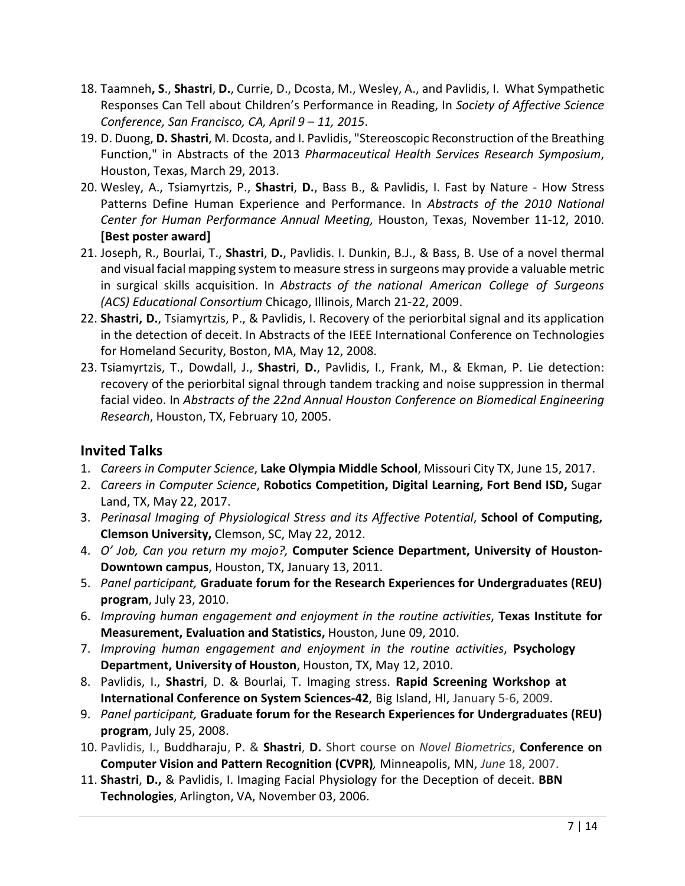- 18. Taamneh**, S**., **Shastri**, **D.**, Currie, D., Dcosta, M., Wesley, A., and Pavlidis, I. What Sympathetic  *Conference, San Francisco, CA, April 9 – 11, 2015*. Responses Can Tell about Children's Performance in Reading, In *Society of Affective Science*
- 19. D. Duong, **D. Shastri**, M. Dcosta, and I. Pavlidis, "Stereoscopic Reconstruction of the Breathing Function," in Abstracts of the 2013 *Pharmaceutical Health Services Research Symposium*, Houston, Texas, March 29, 2013.
- 20. Wesley, A., Tsiamyrtzis, P., **Shastri**, **D.**, Bass B., & Pavlidis, I. Fast by Nature How Stress  **[Best poster award]**  Patterns Define Human Experience and Performance. In *Abstracts of the 2010 National Center for Human Performance Annual Meeting,* Houston, Texas, November 11-12, 2010.
- 21. Joseph, R., Bourlai, T., **Shastri**, **D.**, Pavlidis. I. Dunkin, B.J., & Bass, B. Use of a novel thermal and visual facial mapping system to measure stress in surgeons may provide a valuable metric in surgical skills acquisition. In *Abstracts of the national American College of Surgeons (ACS) Educational Consortium* Chicago, Illinois, March 21-22, 2009.
- 22. **Shastri, D.**, Tsiamyrtzis, P., & Pavlidis, I. Recovery of the periorbital signal and its application for Homeland Security, Boston, MA, May 12, 2008. in the detection of deceit. In Abstracts of the IEEE International Conference on Technologies
- *Research*, Houston, TX, February 10, 2005. 23. Tsiamyrtzis, T., Dowdall, J., **Shastri**, **D.**, Pavlidis, I., Frank, M., & Ekman, P. Lie detection: recovery of the periorbital signal through tandem tracking and noise suppression in thermal facial video. In *Abstracts of the 22nd Annual Houston Conference on Biomedical Engineering*

# **Invited Talks**

- 1. *Careers in Computer Science*, **Lake Olympia Middle School**, Missouri City TX, June 15, 2017.
- 2. *Careers in Computer Science*, **Robotics Competition, Digital Learning, Fort Bend ISD,** Sugar Land, TX, May 22, 2017.
- 3. *Perinasal Imaging of Physiological Stress and its Affective Potential*, **School of Computing, Clemson University,** Clemson, SC, May 22, 2012.
- 4. *O' Job, Can you return my mojo?,* **Computer Science Department, University of Houston-Downtown campus**, Houston, TX, January 13, 2011.
- 5. *Panel participant,* **Graduate forum for the Research Experiences for Undergraduates (REU) program**, July 23, 2010.
- 6. *Improving human engagement and enjoyment in the routine activities*, **Texas Institute for Measurement, Evaluation and Statistics,** Houston, June 09, 2010.
- 7. *Improving human engagement and enjoyment in the routine activities*, **Psychology Department, University of Houston**, Houston, TX, May 12, 2010.
- 8. Pavlidis, I., **Shastri**, D. & Bourlai, T. Imaging stress. **Rapid Screening Workshop at International Conference on System Sciences-42**, Big Island, HI, January 5-6, 2009.
- 9. *Panel participant,* **Graduate forum for the Research Experiences for Undergraduates (REU) program**, July 25, 2008.
- 10. Pavlidis, I., Buddharaju, P. & **Shastri**, **D.** Short course on *Novel Biometrics*, **Conference on Computer Vision and Pattern Recognition (CVPR)***,* Minneapolis, MN, *June* 18, 2007.
- 11. **Shastri**, **D.,** & Pavlidis, I. Imaging Facial Physiology for the Deception of deceit. **BBN Technologies**, Arlington, VA, November 03, 2006.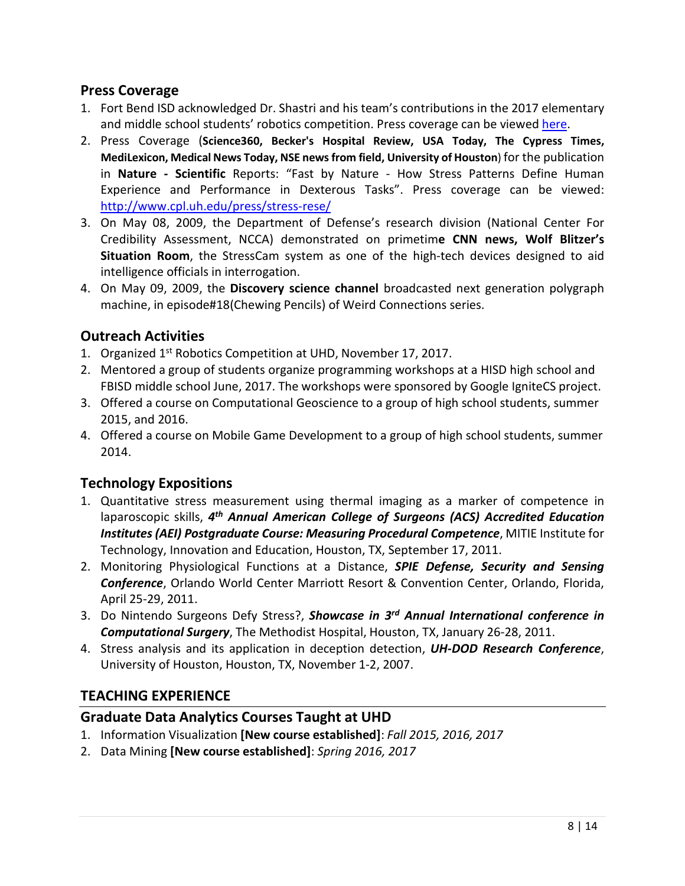### **Press Coverage**

- 1. Fort Bend ISD acknowledged Dr. Shastri and his team's contributions in the 2017 elementary and middle school students' robotics competition. Press coverage can be viewed here.
- 2. Press Coverage (**Science360, Becker's Hospital Review, USA Today, The Cypress Times, MediLexicon, Medical News Today, NSE news from field, University of Houston**) for the publication  in **Nature - Scientific** Reports: "Fast by Nature - How Stress Patterns Define Human Experience and Performance in Dexterous Tasks". Press coverage can be viewed: [http://www.cpl.uh.edu/press/stress-](http://www.cpl.uh.edu/press/stress)rese/
- 3. On May 08, 2009, the Department of Defense's research division (National Center For Credibility Assessment, NCCA) demonstrated on primetim**e CNN news, Wolf Blitzer's**  intelligence officials in interrogation. **Situation Room**, the StressCam system as one of the high-tech devices designed to aid
- machine, in episode#18(Chewing Pencils) of Weird Connections series. 4. On May 09, 2009, the **Discovery science channel** broadcasted next generation polygraph

# **Outreach Activities**

- 1. Organized 1<sup>st</sup> Robotics Competition at UHD, November 17, 2017.
- FBISD middle school June, 2017. The workshops were sponsored by Google IgniteCS project. 2. Mentored a group of students organize programming workshops at a HISD high school and
- 2015, and 2016. 3. Offered a course on Computational Geoscience to a group of high school students, summer
- 4. Offered a course on Mobile Game Development to a group of high school students, summer 2014.

# **Technology Expositions**

- 1. Quantitative stress measurement using thermal imaging as a marker of competence in  *Institutes (AEI) Postgraduate Course: Measuring Procedural Competence*, MITIE Institute for Technology, Innovation and Education, Houston, TX, September 17, 2011. laparoscopic skills, 4<sup>th</sup> Annual American College of Surgeons (ACS) Accredited Education
- 2. Monitoring Physiological Functions at a Distance, *SPIE Defense, Security and Sensing Conference*, Orlando World Center Marriott Resort & Convention Center, Orlando, Florida, April 25-29, 2011.
- 3. Do Nintendo Surgeons Defy Stress?, *Showcase in 3rd Annual International conference in Computational Surgery*, The Methodist Hospital, Houston, TX, January 26-28, 2011.
- University of Houston, Houston, TX, November 1-2, 2007. 4. Stress analysis and its application in deception detection, *UH-DOD Research Conference*,

# **TEACHING EXPERIENCE**

# **Graduate Data Analytics Courses Taught at UHD**

- 1. Information Visualization **[New course established]**: *Fall 2015, 2016, 2017*
- 2. Data Mining **[New course established]**: *Spring 2016, 2017*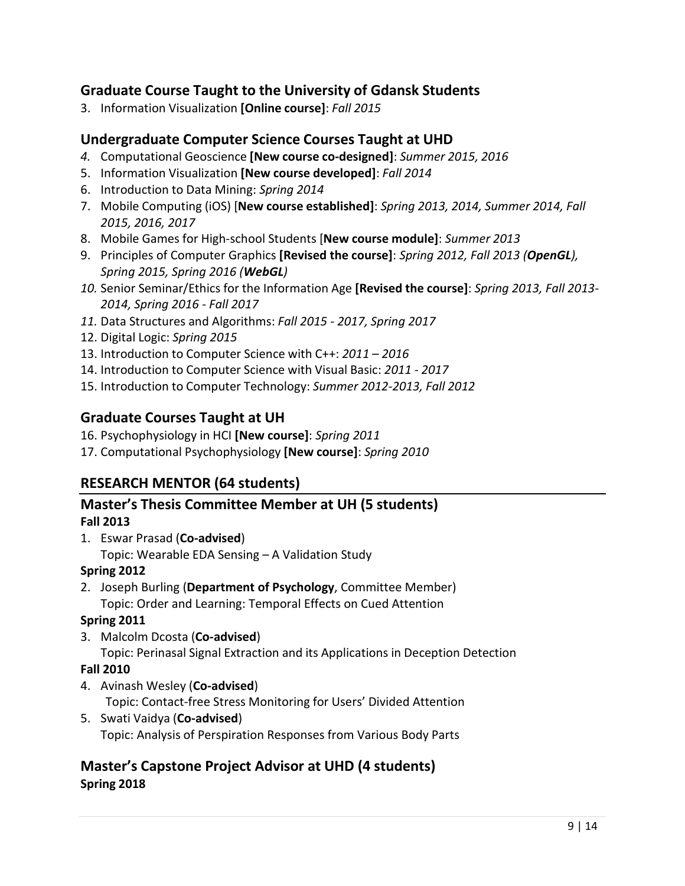# **Graduate Course Taught to the University of Gdansk Students**

3. Information Visualization **[Online course]**: *Fall 2015* 

# **Undergraduate Computer Science Courses Taught at UHD**

- *4.* Computational Geoscience **[New course co-designed]**: *Summer 2015, 2016*
- 5. Information Visualization **[New course developed]**: *Fall 2014*
- 6. Introduction to Data Mining: *Spring 2014*
- 7. Mobile Computing (iOS) [**New course established]**: *Spring 2013, 2014, Summer 2014, Fall 2015, 2016, 2017*
- 8. Mobile Games for High-school Students [**New course module]**: *Summer 2013*
- 9. Principles of Computer Graphics **[Revised the course]**: *Spring 2012, Fall 2013 (OpenGL), Spring 2015, Spring 2016 (WebGL)*
- *10.* Senior Seminar/Ethics for the Information Age **[Revised the course]**: *Spring 2013, Fall 2013- 2014, Spring 2016 - Fall 2017*
- *11.* Data Structures and Algorithms: *Fall 2015 - 2017, Spring 2017*
- 12. Digital Logic: *Spring 2015*
- 13. Introduction to Computer Science with C++: *2011 2016*
- 14. Introduction to Computer Science with Visual Basic: *2011 - 2017*
- 15. Introduction to Computer Technology: *Summer 2012-2013, Fall 2012*

# **Graduate Courses Taught at UH**

- 16. Psychophysiology in HCI **[New course]**: *Spring 2011*
- 17. Computational Psychophysiology **[New course]**: *Spring 2010*

# **RESEARCH MENTOR (64 students)**

### **Master's Thesis Committee Member at UH (5 students) Fall 2013**

 1. Eswar Prasad (**Co-advised**) Topic: Wearable EDA Sensing – A Validation Study

#### **Spring 2012**

 Topic: Order and Learning: Temporal Effects on Cued Attention 2. Joseph Burling (**Department of Psychology**, Committee Member)

# **Spring 2011**

 3. Malcolm Dcosta (**Co-advised**) Topic: Perinasal Signal Extraction and its Applications in Deception Detection

### **Fall 2010**

- 4. Avinash Wesley (**Co-advised**) Topic: Contact-free Stress Monitoring for Users' Divided Attention
- 5. Swati Vaidya (**Co-advised**) Topic: Analysis of Perspiration Responses from Various Body Parts

# **Master's Capstone Project Advisor at UHD (4 students) Spring 2018**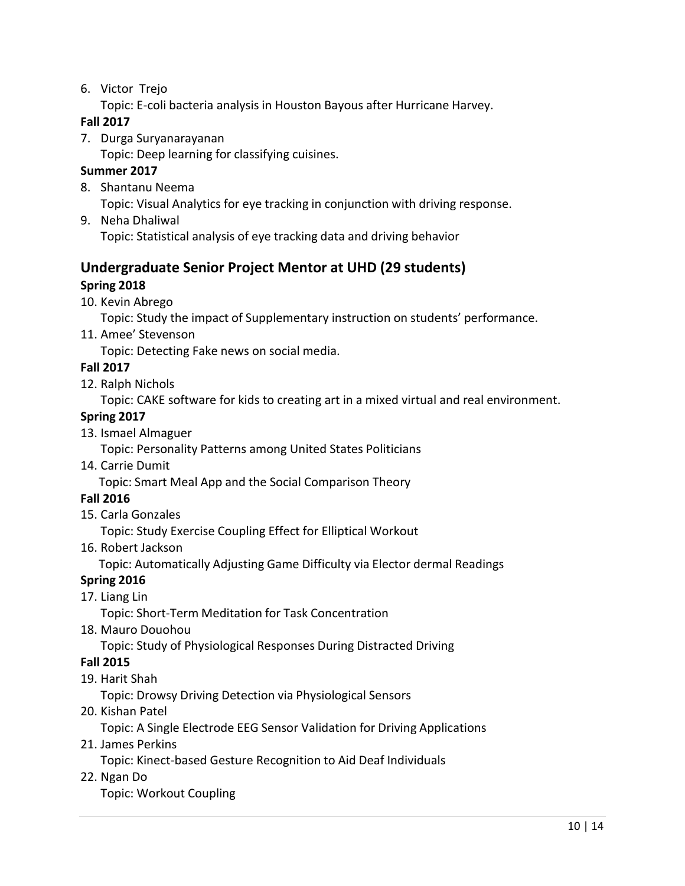- 6. Victor Trejo
	- Topic: E-coli bacteria analysis in Houston Bayous after Hurricane Harvey.

#### **Fall 2017**

- 7. Durga Suryanarayanan
	- Topic: Deep learning for classifying cuisines.

#### **Summer 2017**

- 8. Shantanu Neema Topic: Visual Analytics for eye tracking in conjunction with driving response.
- 9. Neha Dhaliwal Topic: Statistical analysis of eye tracking data and driving behavior

# **Undergraduate Senior Project Mentor at UHD (29 students) Spring 2018**

10. Kevin Abrego

Topic: Study the impact of Supplementary instruction on students' performance.

11. Amee' Stevenson

Topic: Detecting Fake news on social media.

- **Fall 2017**
- 12. Ralph Nichols

Topic: CAKE software for kids to creating art in a mixed virtual and real environment.

#### **Spring 2017**

13. Ismael Almaguer

Topic: Personality Patterns among United States Politicians

14. Carrie Dumit

Topic: Smart Meal App and the Social Comparison Theory

### **Fall 2016**

15. Carla Gonzales

Topic: Study Exercise Coupling Effect for Elliptical Workout

16. Robert Jackson

Topic: Automatically Adjusting Game Difficulty via Elector dermal Readings

### **Spring 2016**

17. Liang Lin

Topic: Short-Term Meditation for Task Concentration

18. Mauro Douohou

Topic: Study of Physiological Responses During Distracted Driving

#### **Fall 2015**

19. Harit Shah

Topic: Drowsy Driving Detection via Physiological Sensors

20. Kishan Patel

Topic: A Single Electrode EEG Sensor Validation for Driving Applications

21. James Perkins

Topic: Kinect-based Gesture Recognition to Aid Deaf Individuals

22. Ngan Do

Topic: Workout Coupling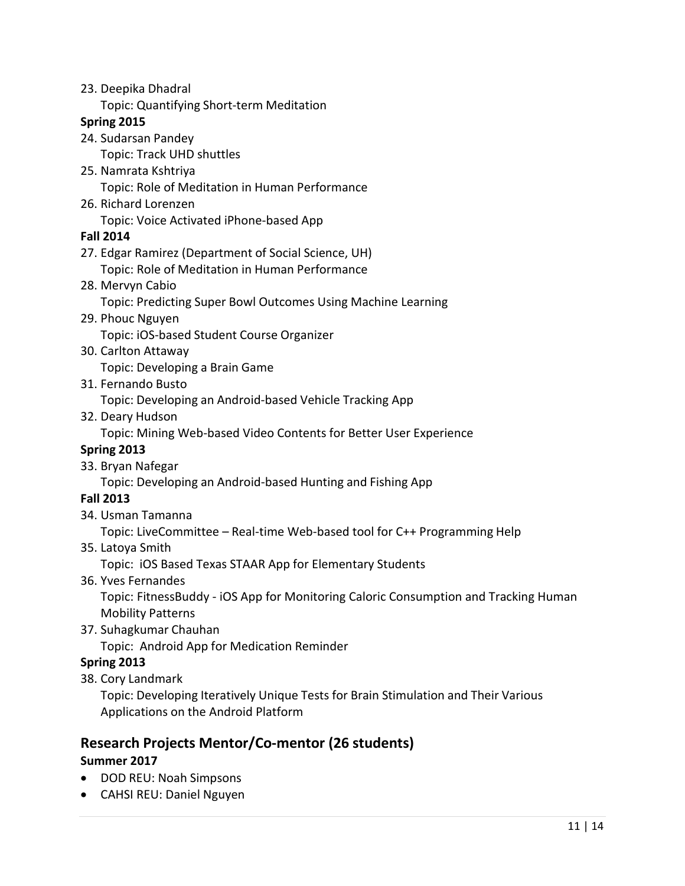23. Deepika Dhadral

Topic: Quantifying Short-term Meditation

#### **Spring 2015**

24. Sudarsan Pandey

Topic: Track UHD shuttles

- 25. Namrata Kshtriya Topic: Role of Meditation in Human Performance
- 26. Richard Lorenzen

Topic: Voice Activated iPhone-based App

#### **Fall 2014**

- 27. Edgar Ramirez (Department of Social Science, UH) Topic: Role of Meditation in Human Performance
- 28. Mervyn Cabio
	- Topic: Predicting Super Bowl Outcomes Using Machine Learning
- 29. Phouc Nguyen Topic: iOS-based Student Course Organizer
- 30. Carlton Attaway Topic: Developing a Brain Game
- 31. Fernando Busto

Topic: Developing an Android-based Vehicle Tracking App

32. Deary Hudson

Topic: Mining Web-based Video Contents for Better User Experience

#### **Spring 2013**

33. Bryan Nafegar

Topic: Developing an Android-based Hunting and Fishing App

#### **Fall 2013**

34. Usman Tamanna

Topic: LiveCommittee – Real-time Web-based tool for C++ Programming Help

35. Latoya Smith

Topic: iOS Based Texas STAAR App for Elementary Students

36. Yves Fernandes

 Mobility Patterns Topic: FitnessBuddy - iOS App for Monitoring Caloric Consumption and Tracking Human

37. Suhagkumar Chauhan

Topic: Android App for Medication Reminder

#### **Spring 2013**

38. Cory Landmark

 Topic: Developing Iteratively Unique Tests for Brain Stimulation and Their Various Applications on the Android Platform

# **Research Projects Mentor/Co-mentor (26 students)**

#### **Summer 2017**

- DOD REU: Noah Simpsons
- CAHSI REU: Daniel Nguyen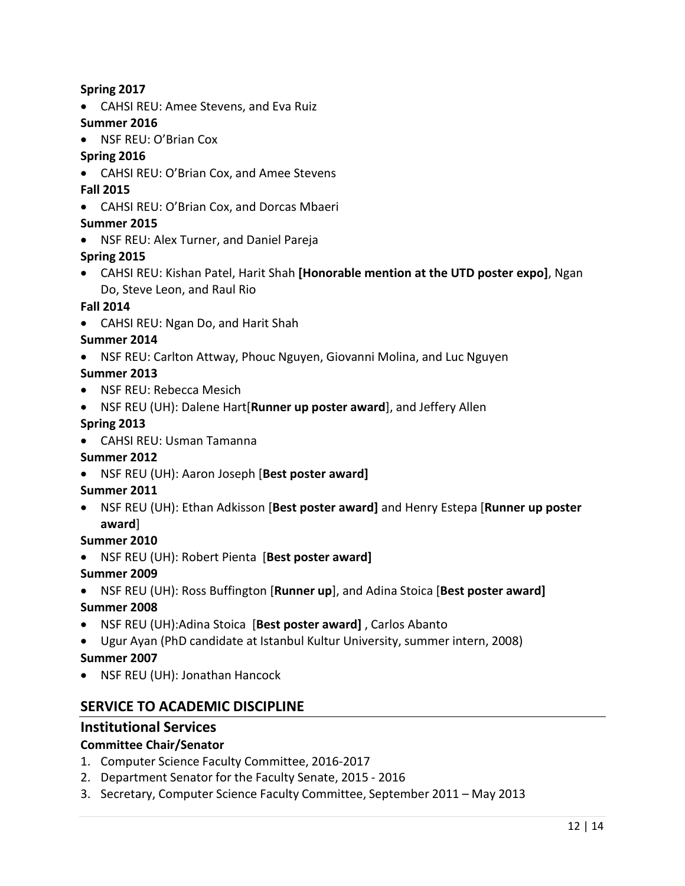#### **Spring 2017**

• CAHSI REU: Amee Stevens, and Eva Ruiz

#### **Summer 2016**

• NSF REU: O'Brian Cox

### **Spring 2016**

- CAHSI REU: O'Brian Cox, and Amee Stevens
- **Fall 2015**
- CAHSI REU: O'Brian Cox, and Dorcas Mbaeri

#### **Summer 2015**

• NSF REU: Alex Turner, and Daniel Pareja

### **Spring 2015**

• CAHSI REU: Kishan Patel, Harit Shah **[Honorable mention at the UTD poster expo]**, Ngan Do, Steve Leon, and Raul Rio

#### **Fall 2014**

• CAHSI REU: Ngan Do, and Harit Shah

#### **Summer 2014**

• NSF REU: Carlton Attway, Phouc Nguyen, Giovanni Molina, and Luc Nguyen

#### **Summer 2013**

- NSF REU: Rebecca Mesich
- NSF REU (UH): Dalene Hart[**Runner up poster award**], and Jeffery Allen

#### **Spring 2013**

• CAHSI REU: Usman Tamanna

### **Summer 2012**

• NSF REU (UH): Aaron Joseph [**Best poster award]** 

### **Summer 2011**

 • NSF REU (UH): Ethan Adkisson [**Best poster award]** and Henry Estepa [**Runner up poster award**]

#### **Summer 2010**

• NSF REU (UH): Robert Pienta [**Best poster award]** 

#### **Summer 2009**

• NSF REU (UH): Ross Buffington [**Runner up**], and Adina Stoica [**Best poster award]** 

### **Summer 2008**

- NSF REU (UH):Adina Stoica [**Best poster award]** , Carlos Abanto
- Ugur Ayan (PhD candidate at Istanbul Kultur University, summer intern, 2008)

### **Summer 2007**

• NSF REU (UH): Jonathan Hancock

# **SERVICE TO ACADEMIC DISCIPLINE**

# **Institutional Services**

### **Committee Chair/Senator**

- 1. Computer Science Faculty Committee, 2016-2017
- 2. Department Senator for the Faculty Senate, 2015 2016
- 3. Secretary, Computer Science Faculty Committee, September 2011 May 2013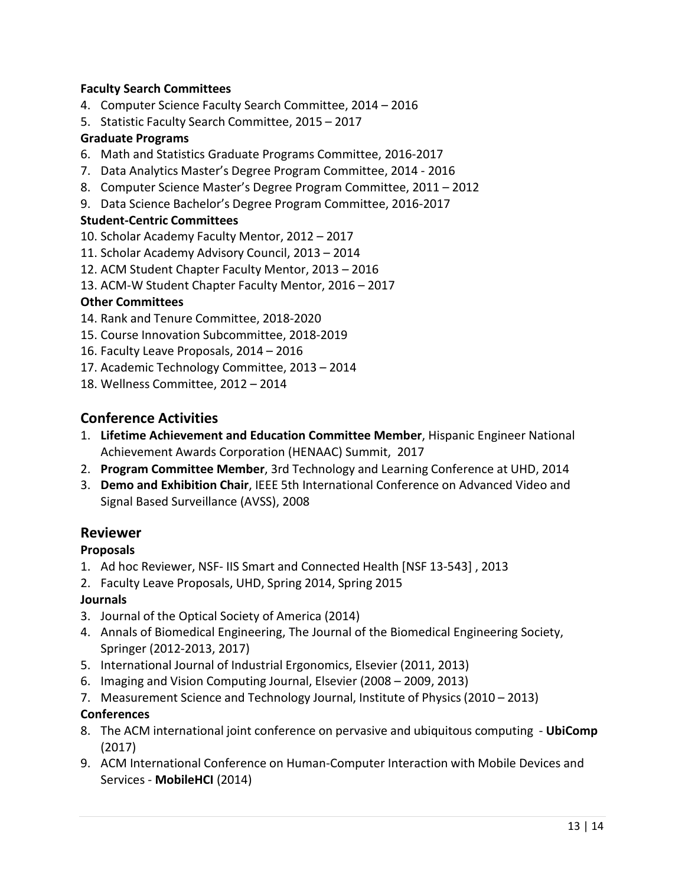#### **Faculty Search Committees**

- 4. Computer Science Faculty Search Committee, 2014 2016
- 5. Statistic Faculty Search Committee, 2015 2017

#### **Graduate Programs**

- 6. Math and Statistics Graduate Programs Committee, 2016-2017
- 7. Data Analytics Master's Degree Program Committee, 2014 2016
- 8. Computer Science Master's Degree Program Committee, 2011 2012
- 9. Data Science Bachelor's Degree Program Committee, 2016-2017

#### **Student-Centric Committees**

- 10. Scholar Academy Faculty Mentor, 2012 2017
- 11. Scholar Academy Advisory Council, 2013 2014
- 12. ACM Student Chapter Faculty Mentor, 2013 2016
- 13. ACM-W Student Chapter Faculty Mentor, 2016 2017

#### **Other Committees**

- 14. Rank and Tenure Committee, 2018-2020
- 15. Course Innovation Subcommittee, 2018-2019
- 16. Faculty Leave Proposals, 2014 2016
- 17. Academic Technology Committee, 2013 2014
- 18. Wellness Committee, 2012 2014

# **Conference Activities**

- Achievement Awards Corporation (HENAAC) Summit, 2017 1. **Lifetime Achievement and Education Committee Member**, Hispanic Engineer National
- 2. **Program Committee Member**, 3rd Technology and Learning Conference at UHD, 2014
- 3. **Demo and Exhibition Chair**, IEEE 5th International Conference on Advanced Video and Signal Based Surveillance (AVSS), 2008

### **Reviewer**

### **Proposals**

- 1. Ad hoc Reviewer, NSF- IIS Smart and Connected Health [NSF 13-543] , 2013
- 2. Faculty Leave Proposals, UHD, Spring 2014, Spring 2015

#### **Journals**

- 3. Journal of the Optical Society of America (2014)
- Springer (2012-2013, 2017) 4. Annals of Biomedical Engineering, The Journal of the Biomedical Engineering Society,
- 5. International Journal of Industrial Ergonomics, Elsevier (2011, 2013)
- 6. Imaging and Vision Computing Journal, Elsevier (2008 2009, 2013)
- 7. Measurement Science and Technology Journal, Institute of Physics (2010 2013)

#### **Conferences**

- 8. The ACM international joint conference on pervasive and ubiquitous computing **UbiComp**  (2017)
- 9. ACM International Conference on Human-Computer Interaction with Mobile Devices and Services - **MobileHCI** (2014)